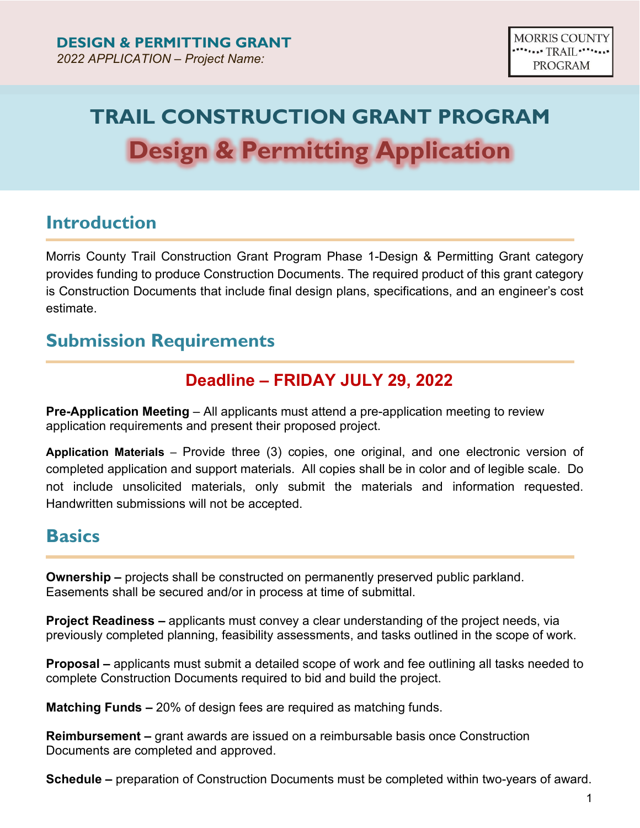# **TRAIL CONSTRUCTION GRANT PROGRAM Design & Permitting Application**

### **Introduction**

Morris County Trail Construction Grant Program Phase 1-Design & Permitting Grant category provides funding to produce Construction Documents. The required product of this grant category is Construction Documents that include final design plans, specifications, and an engineer's cost estimate.

### **Submission Requirements**

### **Deadline – FRIDAY JULY 29, 2022**

**Pre-Application Meeting** – All applicants must attend a pre-application meeting to review application requirements and present their proposed project.

**Application Materials** – Provide three (3) copies, one original, and one electronic version of completed application and support materials. All copies shall be in color and of legible scale. Do not include unsolicited materials, only submit the materials and information requested. Handwritten submissions will not be accepted.

### **Basics**

**Ownership –** projects shall be constructed on permanently preserved public parkland. Easements shall be secured and/or in process at time of submittal.

**Project Readiness –** applicants must convey a clear understanding of the project needs, via previously completed planning, feasibility assessments, and tasks outlined in the scope of work.

**Proposal –** applicants must submit a detailed scope of work and fee outlining all tasks needed to complete Construction Documents required to bid and build the project.

**Matching Funds –** 20% of design fees are required as matching funds.

**Reimbursement –** grant awards are issued on a reimbursable basis once Construction Documents are completed and approved.

**Schedule –** preparation of Construction Documents must be completed within two-years of award.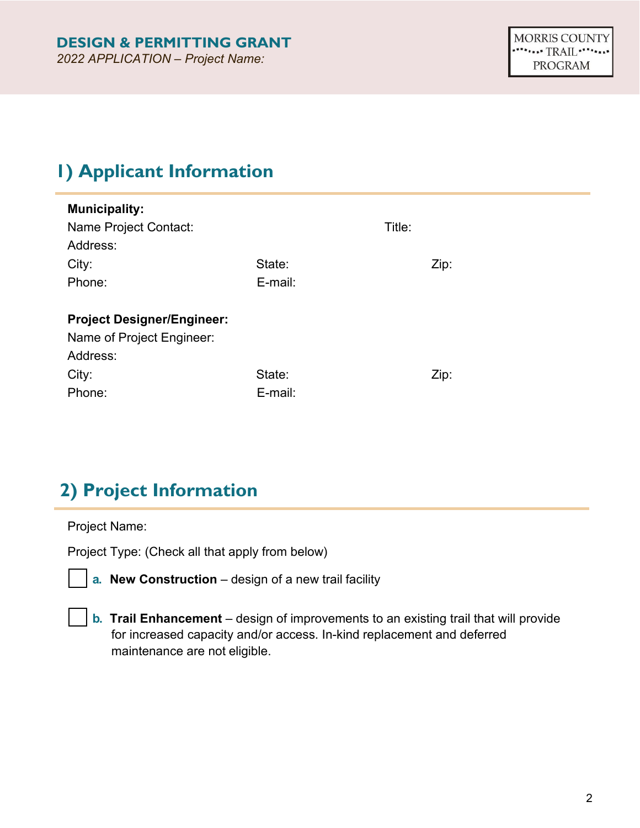# **1) Applicant Information**

| <b>Municipality:</b>              |         |        |  |
|-----------------------------------|---------|--------|--|
| Name Project Contact:             |         | Title: |  |
| Address:                          |         |        |  |
| City:                             | State:  | Zip:   |  |
| Phone:                            | E-mail: |        |  |
|                                   |         |        |  |
| <b>Project Designer/Engineer:</b> |         |        |  |
| Name of Project Engineer:         |         |        |  |
| Address:                          |         |        |  |
| State:<br>City:<br>Zip:           |         |        |  |
| Phone:<br>E-mail:                 |         |        |  |

### **2) Project Information**

Project Name:

Project Type: (Check all that apply from below)

**a. New Construction** – design of a new trail facility

**b. Trail Enhancement** – design of improvements to an existing trail that will provide for increased capacity and/or access. In-kind replacement and deferred maintenance are not eligible.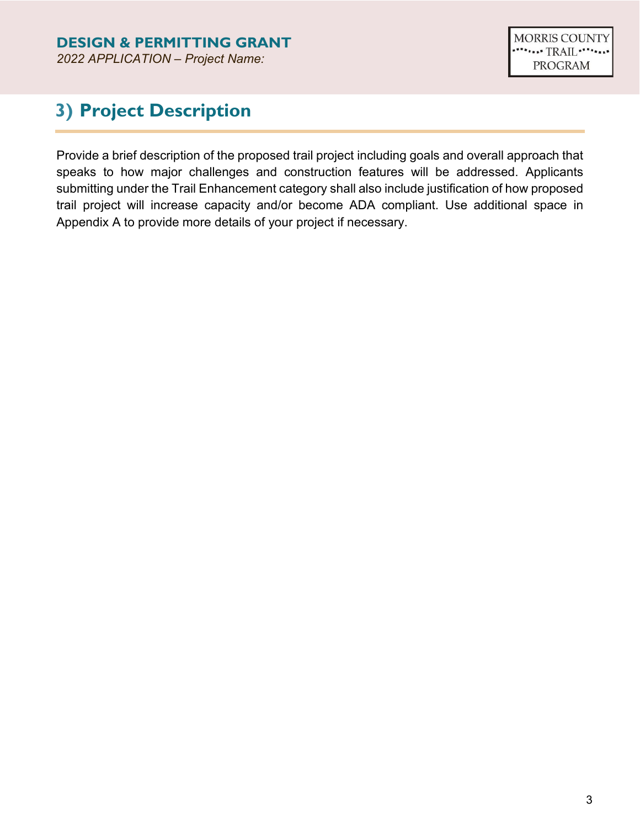### **3) Project Description**

Provide a brief description of the proposed trail project including goals and overall approach that speaks to how major challenges and construction features will be addressed. Applicants submitting under the Trail Enhancement category shall also include justification of how proposed trail project will increase capacity and/or become ADA compliant. Use additional space in Appendix A to provide more details of your project if necessary.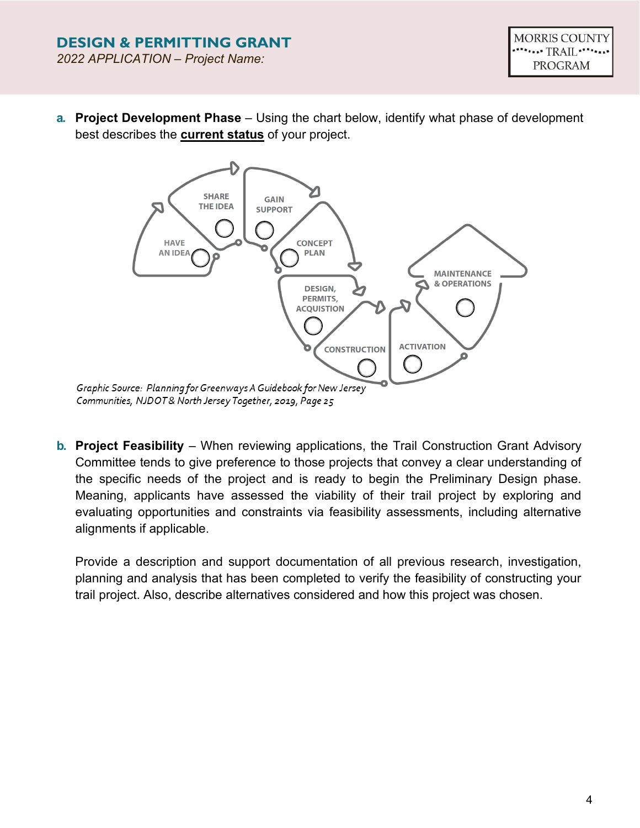**a. Project Development Phase** – Using the chart below, identify what phase of development best describes the **current status** of your project.



**b. Project Feasibility** – When reviewing applications, the Trail Construction Grant Advisory Committee tends to give preference to those projects that convey a clear understanding of the specific needs of the project and is ready to begin the Preliminary Design phase. Meaning, applicants have assessed the viability of their trail project by exploring and evaluating opportunities and constraints via feasibility assessments, including alternative alignments if applicable.

Provide a description and support documentation of all previous research, investigation, planning and analysis that has been completed to verify the feasibility of constructing your trail project. Also, describe alternatives considered and how this project was chosen.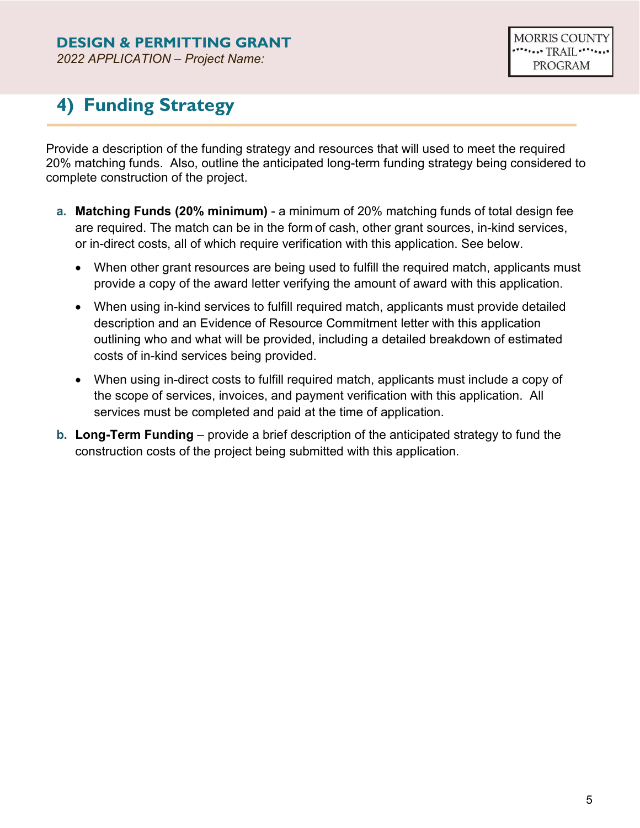### **DESIGN & PERMITTING GRANT**

*2022 APPLICATION – Project Name:*

# **4) Funding Strategy**

Provide a description of the funding strategy and resources that will used to meet the required 20% matching funds. Also, outline the anticipated long-term funding strategy being considered to complete construction of the project.

- **a. Matching Funds (20% minimum)** a minimum of 20% matching funds of total design fee are required. The match can be in the form of cash, other grant sources, in-kind services, or in-direct costs, all of which require verification with this application. See below.
	- When other grant resources are being used to fulfill the required match, applicants must provide a copy of the award letter verifying the amount of award with this application.
	- When using in-kind services to fulfill required match, applicants must provide detailed description and an Evidence of Resource Commitment letter with this application outlining who and what will be provided, including a detailed breakdown of estimated costs of in-kind services being provided.
	- When using in-direct costs to fulfill required match, applicants must include a copy of the scope of services, invoices, and payment verification with this application. All services must be completed and paid at the time of application.
- **b. Long-Term Funding** provide a brief description of the anticipated strategy to fund the construction costs of the project being submitted with this application.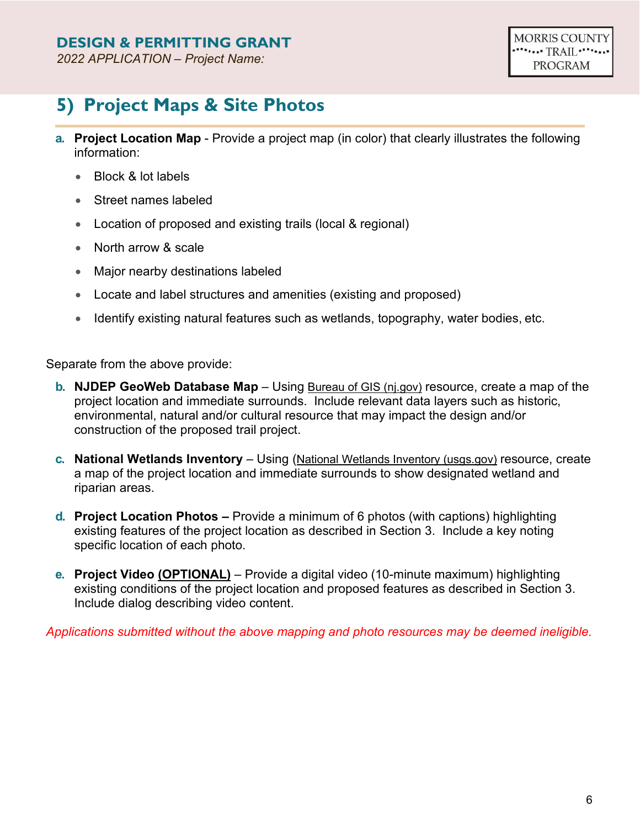# **5) Project Maps & Site Photos**

- **a. Project Location Map** Provide a project map (in color) that clearly illustrates the following information:
	- Block & lot labels
	- Street names labeled
	- Location of proposed and existing trails (local & regional)
	- North arrow & scale
	- Major nearby destinations labeled
	- Locate and label structures and amenities (existing and proposed)
	- Identify existing natural features such as wetlands, topography, water bodies, etc.

Separate from the above provide:

- **b. NJDEP GeoWeb Database Map** Using [Bureau of GIS \(nj.gov\)](https://www.nj.gov/dep/gis/geowebsplash.htm) resource, create a map of the project location and immediate surrounds. Include relevant data layers such as historic, environmental, natural and/or cultural resource that may impact the design and/or construction of the proposed trail project.
- **c. National Wetlands Inventory** Using [\(National Wetlands Inventory \(usgs.gov\)](https://fwsprimary.wim.usgs.gov/wetlands/apps/wetlands-mapper/) resource, create a map of the project location and immediate surrounds to show designated wetland and riparian areas.
- **d. Project Location Photos –** Provide a minimum of 6 photos (with captions) highlighting existing features of the project location as described in Section 3. Include a key noting specific location of each photo.
- **e. Project Video (OPTIONAL)** Provide a digital video (10-minute maximum) highlighting existing conditions of the project location and proposed features as described in Section 3. Include dialog describing video content.

*Applications submitted without the above mapping and photo resources may be deemed ineligible.*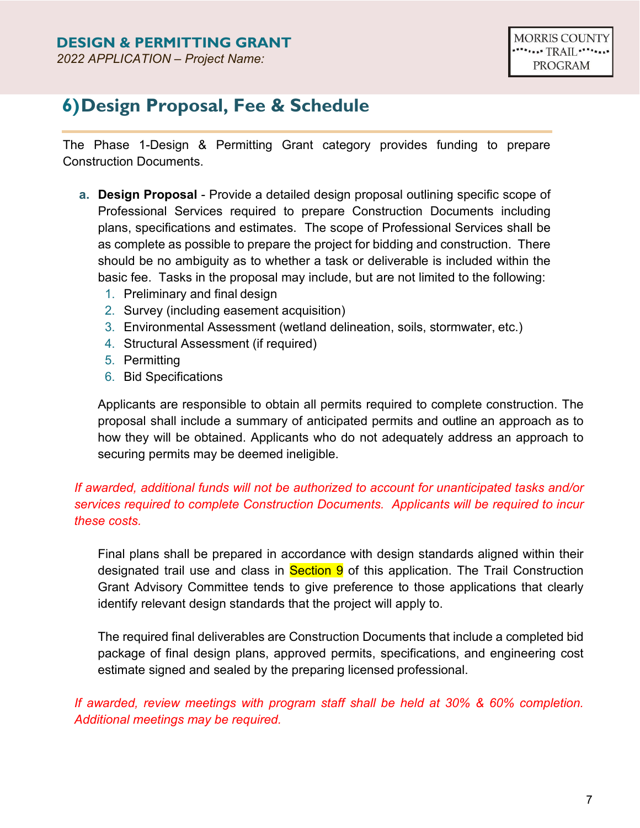### **6)Design Proposal, Fee & Schedule**

The Phase 1-Design & Permitting Grant category provides funding to prepare Construction Documents.

- **a. Design Proposal**  Provide a detailed design proposal outlining specific scope of Professional Services required to prepare Construction Documents including plans, specifications and estimates. The scope of Professional Services shall be as complete as possible to prepare the project for bidding and construction. There should be no ambiguity as to whether a task or deliverable is included within the basic fee. Tasks in the proposal may include, but are not limited to the following:
	- 1. Preliminary and final design
	- 2. Survey (including easement acquisition)
	- 3. Environmental Assessment (wetland delineation, soils, stormwater, etc.)
	- 4. Structural Assessment (if required)
	- 5. Permitting
	- 6. Bid Specifications

Applicants are responsible to obtain all permits required to complete construction. The proposal shall include a summary of anticipated permits and outline an approach as to how they will be obtained. Applicants who do not adequately address an approach to securing permits may be deemed ineligible.

#### *If awarded, additional funds will not be authorized to account for unanticipated tasks and/or services required to complete Construction Documents. Applicants will be required to incur these costs.*

Final plans shall be prepared in accordance with design standards aligned within their designated trail use and class in **Section 9** of this application. The Trail Construction Grant Advisory Committee tends to give preference to those applications that clearly identify relevant design standards that the project will apply to.

The required final deliverables are Construction Documents that include a completed bid package of final design plans, approved permits, specifications, and engineering cost estimate signed and sealed by the preparing licensed professional.

*If awarded, review meetings with program staff shall be held at 30% & 60% completion. Additional meetings may be required.*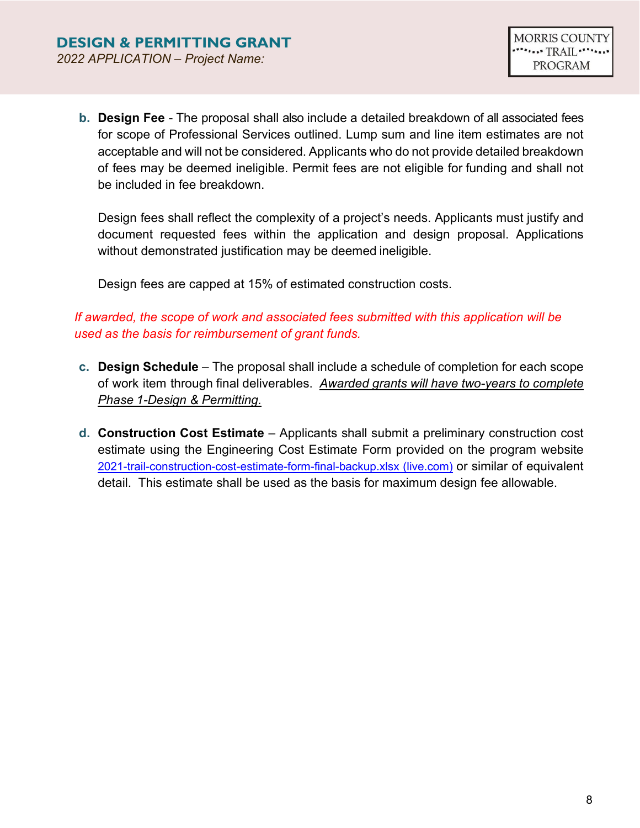**b. Design Fee** - The proposal shall also include a detailed breakdown of all associated fees for scope of Professional Services outlined. Lump sum and line item estimates are not acceptable and will not be considered. Applicants who do not provide detailed breakdown of fees may be deemed ineligible. Permit fees are not eligible for funding and shall not be included in fee breakdown.

Design fees shall reflect the complexity of a project's needs. Applicants must justify and document requested fees within the application and design proposal. Applications without demonstrated justification may be deemed ineligible.

Design fees are capped at 15% of estimated construction costs.

#### *If awarded, the scope of work and associated fees submitted with this application will be used as the basis for reimbursement of grant funds.*

- **c. Design Schedule**  The proposal shall include a schedule of completion for each scope of work item through final deliverables. *Awarded grants will have two-years to complete Phase 1-Design & Permitting.*
- **d. Construction Cost Estimate**  Applicants shall submit a preliminary construction cost estimate using the Engineering Cost Estimate Form provided on the program website [2021-trail-construction-cost-estimate-form-final-backup.xlsx \(live.com\)](https://view.officeapps.live.com/op/view.aspx?src=https%3A%2F%2Fwww.morriscountynj.gov%2Ffiles%2Fsharedassets%2Fpublic%2Fdepartments%2Fplanning-amp-preservation-trail%2F2021-trail-construction-cost-estimate-form-final-backup.xlsx&wdOrigin=BROWSELINK) or similar of equivalent detail. This estimate shall be used as the basis for maximum design fee allowable.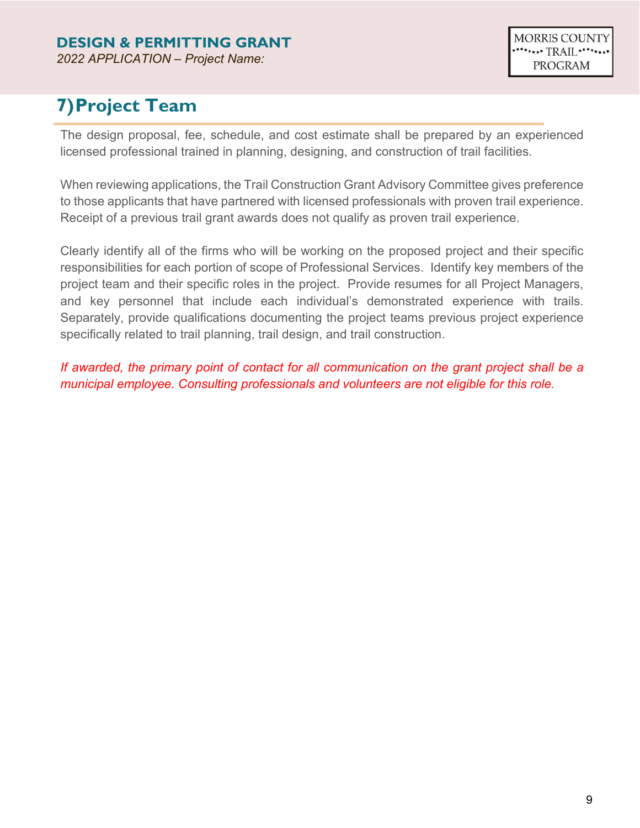# **7)Project Team**

The design proposal, fee, schedule, and cost estimate shall be prepared by an experienced licensed professional trained in planning, designing, and construction of trail facilities.

When reviewing applications, the Trail Construction Grant Advisory Committee gives preference to those applicants that have partnered with licensed professionals with proven trail experience. Receipt of a previous trail grant awards does not qualify as proven trail experience.

Clearly identify all of the firms who will be working on the proposed project and their specific responsibilities for each portion of scope of Professional Services. Identify key members of the project team and their specific roles in the project. Provide resumes for all Project Managers, and key personnel that include each individual's demonstrated experience with trails. Separately, provide qualifications documenting the project teams previous project experience specifically related to trail planning, trail design, and trail construction.

*If awarded, the primary point of contact for all communication on the grant project shall be a municipal employee. Consulting professionals and volunteers are not eligible for this role.*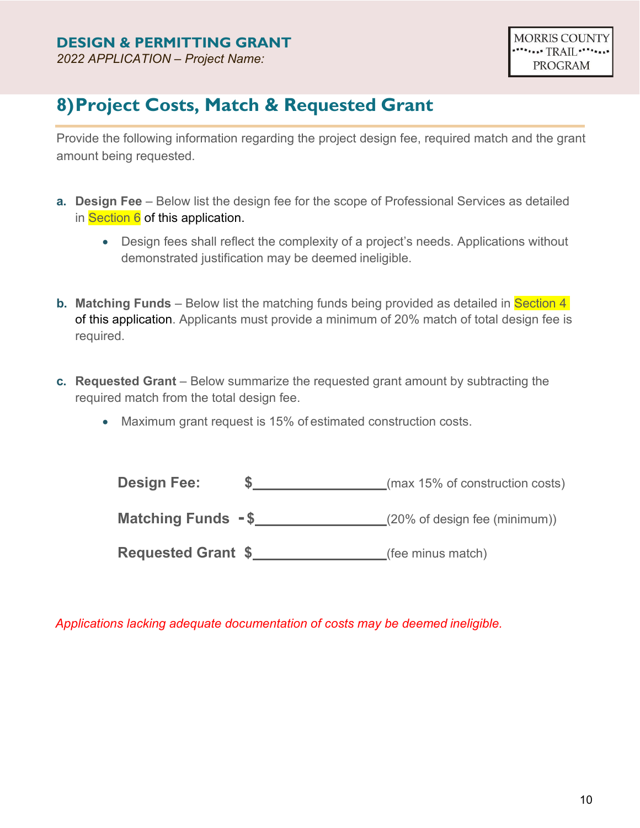### **8)Project Costs, Match & Requested Grant**

Provide the following information regarding the project design fee, required match and the grant amount being requested.

- **a. Design Fee**  Below list the design fee for the scope of Professional Services as detailed in Section 6 of this application.
	- Design fees shall reflect the complexity of a project's needs. Applications without demonstrated justification may be deemed ineligible.
- **b. Matching Funds** Below list the matching funds being provided as detailed in **Section 4** of this application. Applicants must provide a minimum of 20% match of total design fee is required.
- **c. Requested Grant** Below summarize the requested grant amount by subtracting the required match from the total design fee.
	- Maximum grant request is 15% of estimated construction costs.

| <b>Design Fee:</b>        | (max 15% of construction costs)          |
|---------------------------|------------------------------------------|
| Matching Funds -\$        | $(20\% \text{ of design fee (minimum))}$ |
| <b>Requested Grant \$</b> | (fee minus match)                        |

*Applications lacking adequate documentation of costs may be deemed ineligible.*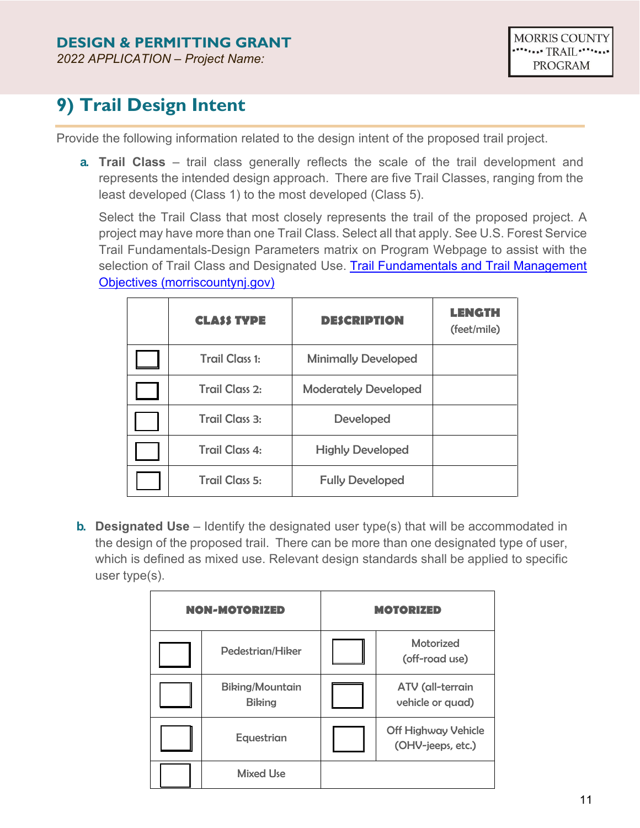# **9) Trail Design Intent**

Provide the following information related to the design intent of the proposed trail project.

**a. Trail Class** – trail class generally reflects the scale of the trail development and represents the intended design approach. There are five Trail Classes, ranging from the least developed (Class 1) to the most developed (Class 5).

Select the Trail Class that most closely represents the trail of the proposed project. A project may have more than one Trail Class. Select all that apply. See U.S. Forest Service Trail Fundamentals-Design Parameters matrix on Program Webpage to assist with the selection of Trail Class and Designated Use. [Trail Fundamentals and Trail Management](https://www.morriscountynj.gov/files/sharedassets/public/departments/planning-amp-preservation-trail/1623-3801_trailfdmltmo_sec508_11-14-16_150dpi.pdf) [Objectives \(morriscountynj.gov\)](https://www.morriscountynj.gov/files/sharedassets/public/departments/planning-amp-preservation-trail/1623-3801_trailfdmltmo_sec508_11-14-16_150dpi.pdf)

| <b>CLASS TYPE</b>                                | <b>DESCRIPTION</b>          | <b>LENGTH</b><br>(feet/mile) |
|--------------------------------------------------|-----------------------------|------------------------------|
| <b>Trail Class 1:</b>                            | <b>Minimally Developed</b>  |                              |
| <b>Trail Class 2:</b>                            | <b>Moderately Developed</b> |                              |
| Trail Class 3:<br><b>Developed</b>               |                             |                              |
| <b>Trail Class 4:</b><br><b>Highly Developed</b> |                             |                              |
| <b>Trail Class 5:</b>                            | <b>Fully Developed</b>      |                              |

**b. Designated Use** – Identify the designated user type(s) that will be accommodated in the design of the proposed trail. There can be more than one designated type of user, which is defined as mixed use. Relevant design standards shall be applied to specific user type(s).

| <b>NON-MOTORIZED</b> |                                         | <b>MOTORIZED</b> |                                                 |
|----------------------|-----------------------------------------|------------------|-------------------------------------------------|
|                      | Pedestrian/Hiker                        |                  | <b>Motorized</b><br>(off-road use)              |
|                      | <b>Biking/Mountain</b><br><b>Biking</b> |                  | ATV (all-terrain<br>vehicle or quad)            |
|                      | Equestrian                              |                  | <b>Off Highway Vehicle</b><br>(OHV-jeeps, etc.) |
|                      | <b>Mixed Use</b>                        |                  |                                                 |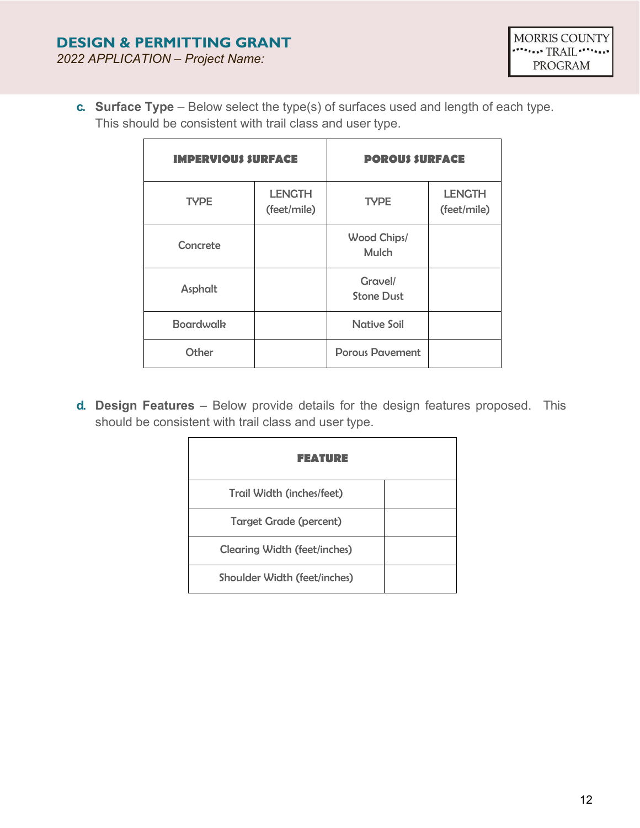**c. Surface Type** – Below select the type(s) of surfaces used and length of each type. This should be consistent with trail class and user type.

| <b>IMPERVIOUS SURFACE</b> |                              | <b>POROUS SURFACE</b>        |                              |
|---------------------------|------------------------------|------------------------------|------------------------------|
| <b>TYPE</b>               | <b>LENGTH</b><br>(feet/mile) | <b>TYPE</b>                  | <b>LENGTH</b><br>(feet/mile) |
| Concrete                  |                              | Wood Chips/<br><b>Mulch</b>  |                              |
| Asphalt                   |                              | Gravel/<br><b>Stone Dust</b> |                              |
| <b>Boardwalk</b>          |                              | <b>Native Soil</b>           |                              |
| Other                     |                              | <b>Porous Pavement</b>       |                              |

**d. Design Features** – Below provide details for the design features proposed. This should be consistent with trail class and user type.

| FEATURE                             |  |
|-------------------------------------|--|
| Trail Width (inches/feet)           |  |
| <b>Target Grade (percent)</b>       |  |
| <b>Clearing Width (feet/inches)</b> |  |
| <b>Shoulder Width (feet/inches)</b> |  |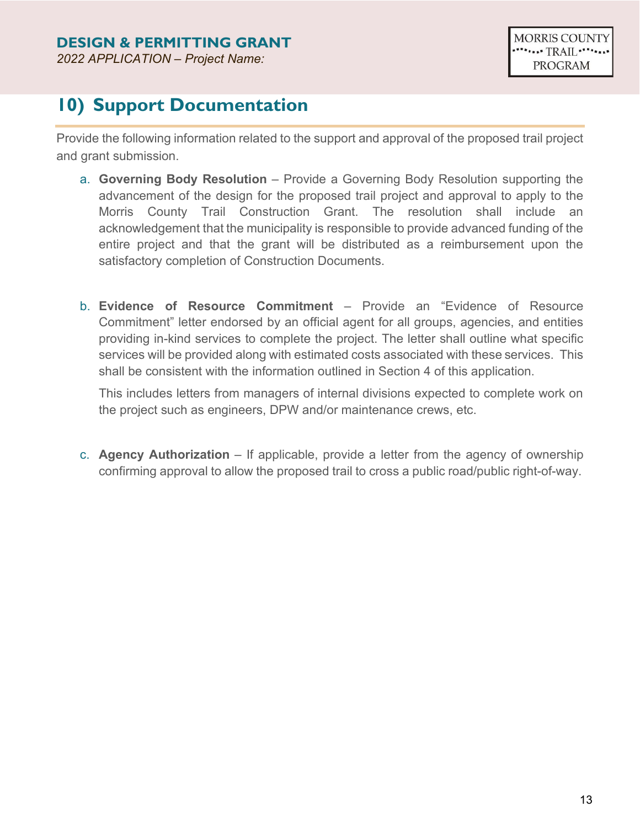### **10) Support Documentation**

Provide the following information related to the support and approval of the proposed trail project and grant submission.

- a. **Governing Body Resolution** Provide a Governing Body Resolution supporting the advancement of the design for the proposed trail project and approval to apply to the Morris County Trail Construction Grant. The resolution shall include an acknowledgement that the municipality is responsible to provide advanced funding of the entire project and that the grant will be distributed as a reimbursement upon the satisfactory completion of Construction Documents.
- b. **Evidence of Resource Commitment**  Provide an "Evidence of Resource Commitment" letter endorsed by an official agent for all groups, agencies, and entities providing in-kind services to complete the project. The letter shall outline what specific services will be provided along with estimated costs associated with these services. This shall be consistent with the information outlined in Section 4 of this application.

This includes letters from managers of internal divisions expected to complete work on the project such as engineers, DPW and/or maintenance crews, etc.

c. **Agency Authorization** – If applicable, provide a letter from the agency of ownership confirming approval to allow the proposed trail to cross a public road/public right-of-way.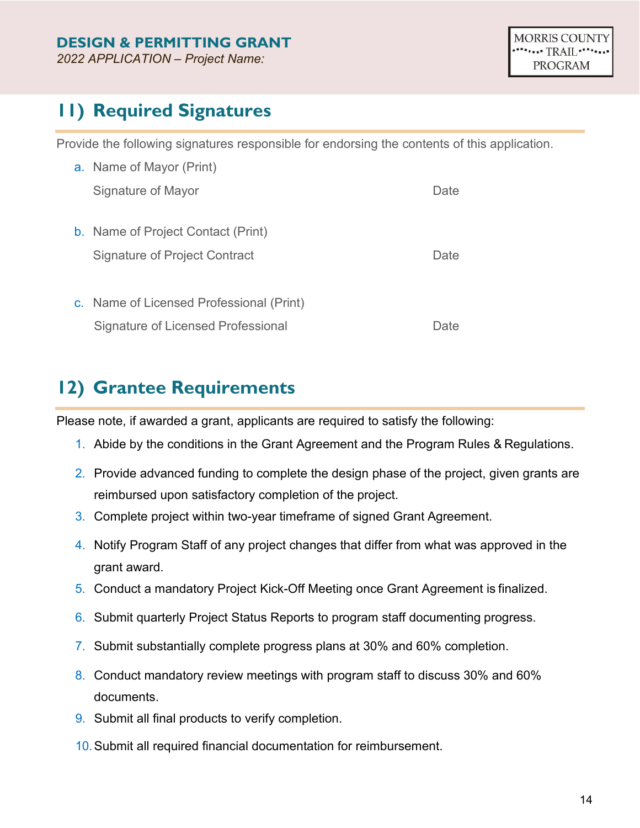### **11) Required Signatures**

Provide the following signatures responsible for endorsing the contents of this application.

| a. Name of Mayor (Print)                  |      |  |
|-------------------------------------------|------|--|
| Signature of Mayor                        | Date |  |
|                                           |      |  |
| <b>b.</b> Name of Project Contact (Print) |      |  |
| <b>Signature of Project Contract</b>      | Date |  |
|                                           |      |  |
| c. Name of Licensed Professional (Print)  |      |  |
| Signature of Licensed Professional        | Jate |  |

### **12) Grantee Requirements**

Please note, if awarded a grant, applicants are required to satisfy the following:

- 1. Abide by the conditions in the Grant Agreement and the Program Rules & Regulations.
- 2. Provide advanced funding to complete the design phase of the project, given grants are reimbursed upon satisfactory completion of the project.
- 3. Complete project within two-year timeframe of signed Grant Agreement.
- 4. Notify Program Staff of any project changes that differ from what was approved in the grant award.
- 5. Conduct a mandatory Project Kick-Off Meeting once Grant Agreement is finalized.
- 6. Submit quarterly Project Status Reports to program staff documenting progress.
- 7. Submit substantially complete progress plans at 30% and 60% completion.
- 8. Conduct mandatory review meetings with program staff to discuss 30% and 60% documents.
- 9. Submit all final products to verify completion.
- 10.Submit all required financial documentation for reimbursement.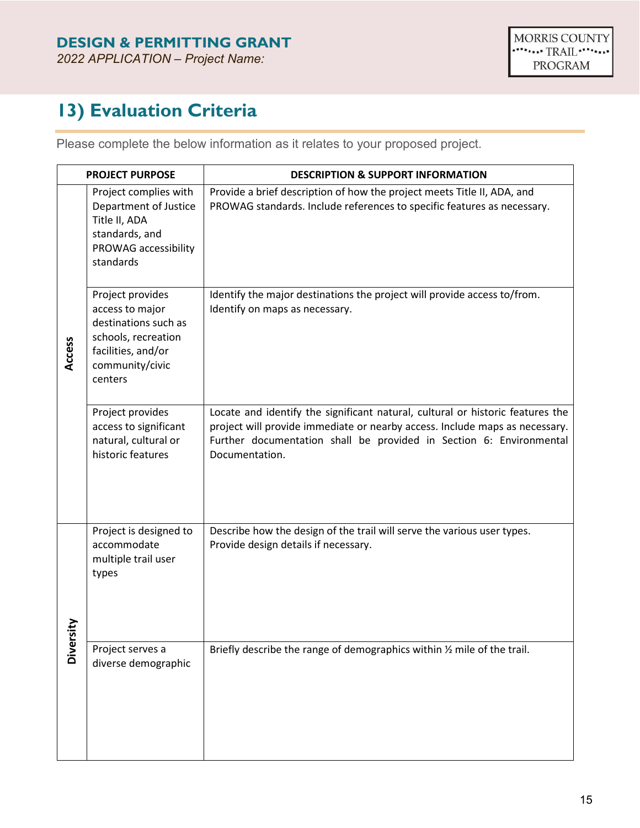### **13) Evaluation Criteria**

Please complete the below information as it relates to your proposed project.

|               | <b>PROJECT PURPOSE</b>                                                                                                                 | <b>DESCRIPTION &amp; SUPPORT INFORMATION</b>                                                                                                                                                                                                           |
|---------------|----------------------------------------------------------------------------------------------------------------------------------------|--------------------------------------------------------------------------------------------------------------------------------------------------------------------------------------------------------------------------------------------------------|
|               | Project complies with<br>Department of Justice<br>Title II, ADA<br>standards, and<br>PROWAG accessibility<br>standards                 | Provide a brief description of how the project meets Title II, ADA, and<br>PROWAG standards. Include references to specific features as necessary.                                                                                                     |
| Access        | Project provides<br>access to major<br>destinations such as<br>schools, recreation<br>facilities, and/or<br>community/civic<br>centers | Identify the major destinations the project will provide access to/from.<br>Identify on maps as necessary.                                                                                                                                             |
|               | Project provides<br>access to significant<br>natural, cultural or<br>historic features                                                 | Locate and identify the significant natural, cultural or historic features the<br>project will provide immediate or nearby access. Include maps as necessary.<br>Further documentation shall be provided in Section 6: Environmental<br>Documentation. |
|               | Project is designed to<br>accommodate<br>multiple trail user<br>types                                                                  | Describe how the design of the trail will serve the various user types.<br>Provide design details if necessary.                                                                                                                                        |
| <b>Divers</b> | Project serves a<br>diverse demographic                                                                                                | Briefly describe the range of demographics within 1/2 mile of the trail.                                                                                                                                                                               |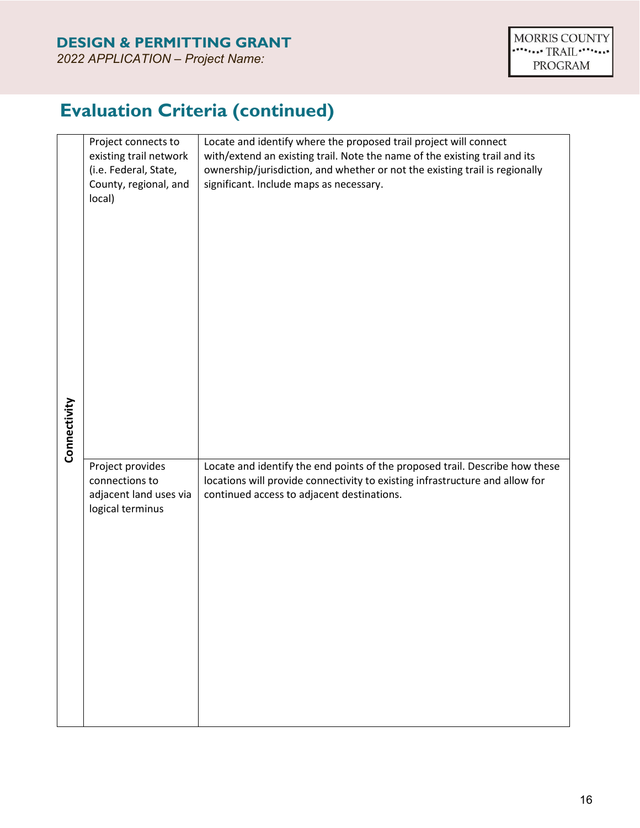**Evaluation Criteria (continued)**

| Connectivity | Project connects to<br>existing trail network<br>(i.e. Federal, State,<br>County, regional, and<br>local) | Locate and identify where the proposed trail project will connect<br>with/extend an existing trail. Note the name of the existing trail and its<br>ownership/jurisdiction, and whether or not the existing trail is regionally<br>significant. Include maps as necessary. |
|--------------|-----------------------------------------------------------------------------------------------------------|---------------------------------------------------------------------------------------------------------------------------------------------------------------------------------------------------------------------------------------------------------------------------|
|              | Project provides<br>connections to<br>adjacent land uses via<br>logical terminus                          | Locate and identify the end points of the proposed trail. Describe how these<br>locations will provide connectivity to existing infrastructure and allow for<br>continued access to adjacent destinations.                                                                |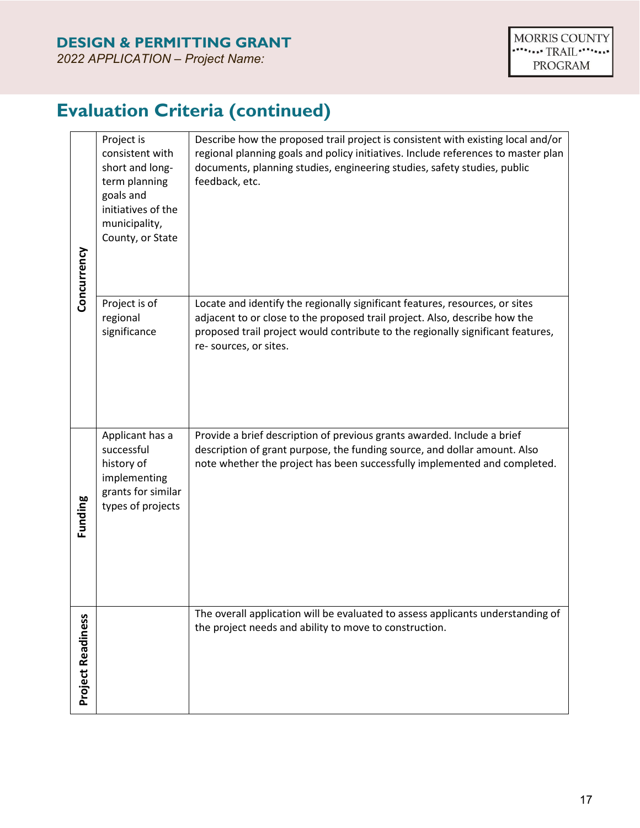# **Evaluation Criteria (continued)**

| Concurrency              | Project is<br>consistent with<br>short and long-<br>term planning<br>goals and<br>initiatives of the<br>municipality,<br>County, or State | Describe how the proposed trail project is consistent with existing local and/or<br>regional planning goals and policy initiatives. Include references to master plan<br>documents, planning studies, engineering studies, safety studies, public<br>feedback, etc.    |
|--------------------------|-------------------------------------------------------------------------------------------------------------------------------------------|------------------------------------------------------------------------------------------------------------------------------------------------------------------------------------------------------------------------------------------------------------------------|
|                          | Project is of<br>regional<br>significance                                                                                                 | Locate and identify the regionally significant features, resources, or sites<br>adjacent to or close to the proposed trail project. Also, describe how the<br>proposed trail project would contribute to the regionally significant features,<br>re-sources, or sites. |
| Funding                  | Applicant has a<br>successful<br>history of<br>implementing<br>grants for similar<br>types of projects                                    | Provide a brief description of previous grants awarded. Include a brief<br>description of grant purpose, the funding source, and dollar amount. Also<br>note whether the project has been successfully implemented and completed.                                      |
| <b>Project Readiness</b> |                                                                                                                                           | The overall application will be evaluated to assess applicants understanding of<br>the project needs and ability to move to construction.                                                                                                                              |